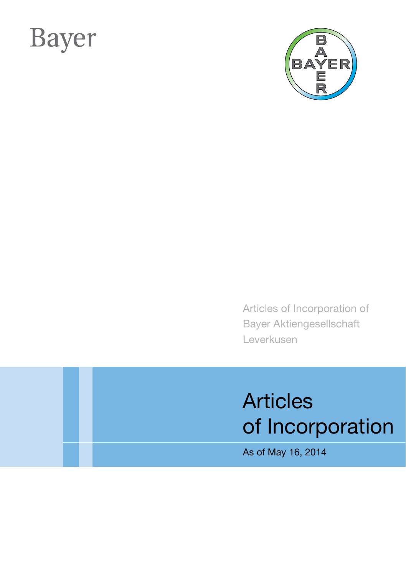# **Bayer**



Articles of Incorporation of Bayer Aktiengesellschaft Leverkusen

# Articles of Incorporation

As of May 16, 2014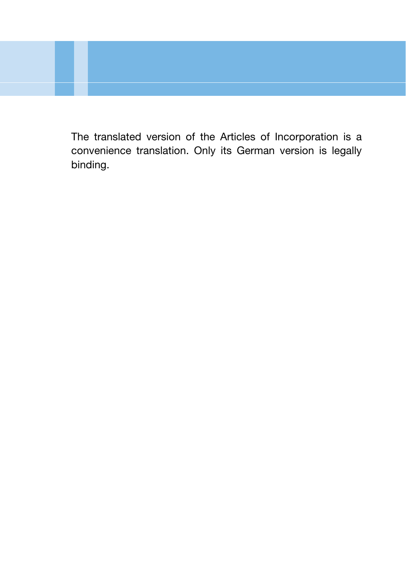The translated version of the Articles of Incorporation is a convenience translation. Only its German version is legally binding.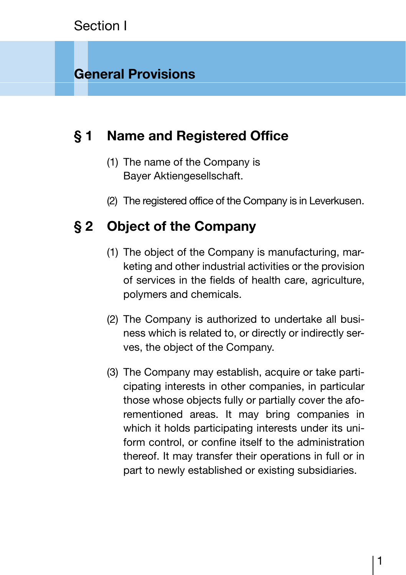### **General Provisions**

# **§ 1 Name and Registered Office**

- (1) The name of the Company is Bayer Aktiengesellschaft.
- (2) The registered office of the Company is in Leverkusen.

# **§ 2 Object of the Company**

- (1) The object of the Company is manufacturing, marketing and other industrial activities or the provision of services in the fields of health care, agriculture, polymers and chemicals.
- (2) The Company is authorized to undertake all business which is related to, or directly or indirectly serves, the object of the Company.
- (3) The Company may establish, acquire or take participating interests in other companies, in particular those whose objects fully or partially cover the aforementioned areas. It may bring companies in which it holds participating interests under its uniform control, or confine itself to the administration thereof. It may transfer their operations in full or in part to newly established or existing subsidiaries.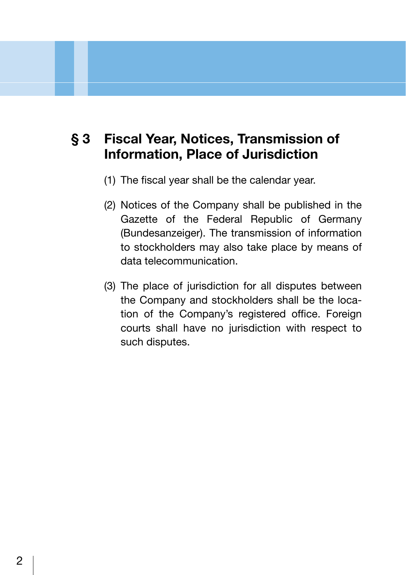# **§ 3 Fiscal Year, Notices, Transmission of Information, Place of Jurisdiction**

- (1) The fiscal year shall be the calendar year.
- (2) Notices of the Company shall be published in the Gazette of the Federal Republic of Germany (Bundesanzeiger). The transmission of information to stockholders may also take place by means of data telecommunication.
- (3) The place of jurisdiction for all disputes between the Company and stockholders shall be the location of the Company's registered office. Foreign courts shall have no jurisdiction with respect to such disputes.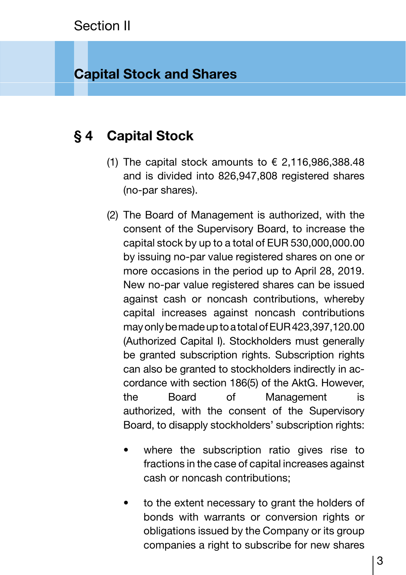#### **Capital Stock and Shares**

# **§ 4 Capital Stock**

- (1) The capital stock amounts to  $\epsilon$  2,116,986,388.48 and is divided into 826,947,808 registered shares (no-par shares).
- (2) The Board of Management is authorized, with the consent of the Supervisory Board, to increase the capital stock by up to a total of EUR 530,000,000.00 by issuing no-par value registered shares on one or more occasions in the period up to April 28, 2019. New no-par value registered shares can be issued against cash or noncash contributions, whereby capital increases against noncash contributions may only be made up to a total of EUR 423,397,120.00 (Authorized Capital I). Stockholders must generally be granted subscription rights. Subscription rights can also be granted to stockholders indirectly in accordance with section 186(5) of the AktG. However, the Board of Management is authorized, with the consent of the Supervisory Board, to disapply stockholders' subscription rights:
	- where the subscription ratio gives rise to fractions in the case of capital increases against cash or noncash contributions;
	- to the extent necessary to grant the holders of bonds with warrants or conversion rights or obligations issued by the Company or its group companies a right to subscribe for new shares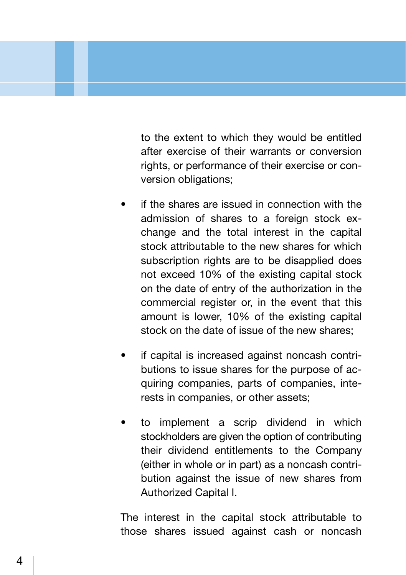to the extent to which they would be entitled after exercise of their warrants or conversion rights, or performance of their exercise or conversion obligations;

- if the shares are issued in connection with the admission of shares to a foreign stock exchange and the total interest in the capital stock attributable to the new shares for which subscription rights are to be disapplied does not exceed 10% of the existing capital stock on the date of entry of the authorization in the commercial register or, in the event that this amount is lower, 10% of the existing capital stock on the date of issue of the new shares;
- if capital is increased against noncash contributions to issue shares for the purpose of acquiring companies, parts of companies, interests in companies, or other assets;
- to implement a scrip dividend in which stockholders are given the option of contributing their dividend entitlements to the Company (either in whole or in part) as a noncash contribution against the issue of new shares from Authorized Capital I.

The interest in the capital stock attributable to those shares issued against cash or noncash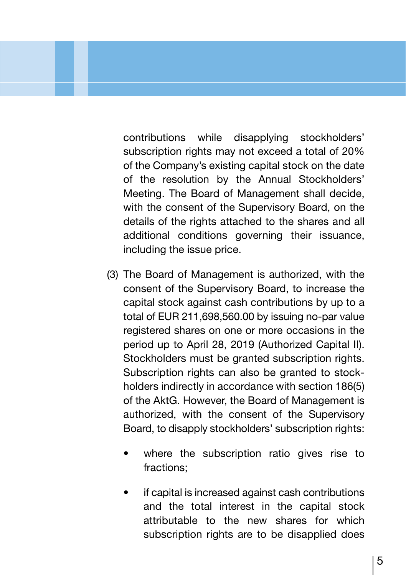contributions while disapplying stockholders' subscription rights may not exceed a total of 20% of the Company's existing capital stock on the date of the resolution by the Annual Stockholders' Meeting. The Board of Management shall decide, with the consent of the Supervisory Board, on the details of the rights attached to the shares and all additional conditions governing their issuance, including the issue price.

- (3) The Board of Management is authorized, with the consent of the Supervisory Board, to increase the capital stock against cash contributions by up to a total of EUR 211,698,560.00 by issuing no-par value registered shares on one or more occasions in the period up to April 28, 2019 (Authorized Capital II). Stockholders must be granted subscription rights. Subscription rights can also be granted to stockholders indirectly in accordance with section 186(5) of the AktG. However, the Board of Management is authorized, with the consent of the Supervisory Board, to disapply stockholders' subscription rights:
	- where the subscription ratio gives rise to fractions;
	- if capital is increased against cash contributions and the total interest in the capital stock attributable to the new shares for which subscription rights are to be disapplied does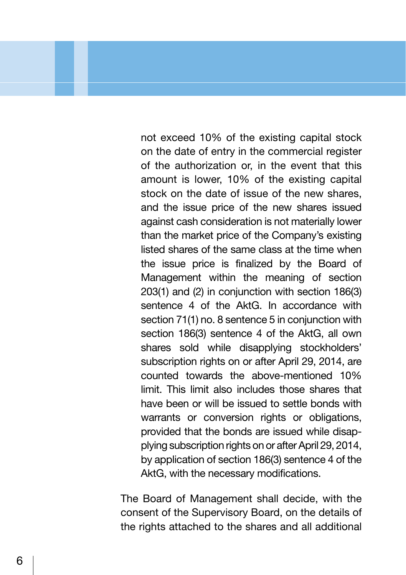not exceed 10% of the existing capital stock on the date of entry in the commercial register of the authorization or, in the event that this amount is lower, 10% of the existing capital stock on the date of issue of the new shares, and the issue price of the new shares issued against cash consideration is not materially lower than the market price of the Company's existing listed shares of the same class at the time when the issue price is finalized by the Board of Management within the meaning of section 203(1) and (2) in conjunction with section 186(3) sentence 4 of the AktG. In accordance with section 71(1) no. 8 sentence 5 in conjunction with section 186(3) sentence 4 of the AktG, all own shares sold while disapplying stockholders' subscription rights on or after April 29, 2014, are counted towards the above-mentioned 10% limit. This limit also includes those shares that have been or will be issued to settle bonds with warrants or conversion rights or obligations, provided that the bonds are issued while disapplying subscription rights on or after April 29, 2014, by application of section 186(3) sentence 4 of the AktG, with the necessary modifications.

 The Board of Management shall decide, with the consent of the Supervisory Board, on the details of the rights attached to the shares and all additional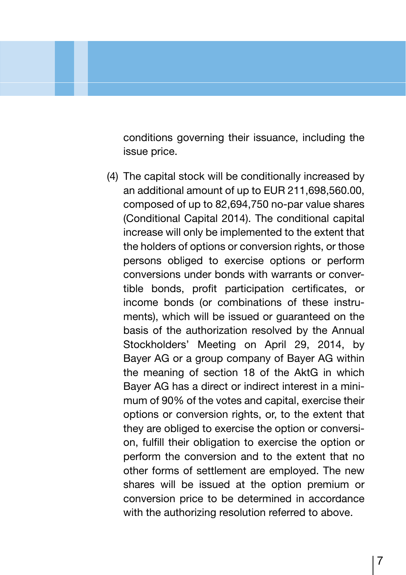conditions governing their issuance, including the issue price.

(4) The capital stock will be conditionally increased by an additional amount of up to EUR 211,698,560.00, composed of up to 82,694,750 no-par value shares (Conditional Capital 2014). The conditional capital increase will only be implemented to the extent that the holders of options or conversion rights, or those persons obliged to exercise options or perform conversions under bonds with warrants or convertible bonds, profit participation certificates, or income bonds (or combinations of these instruments), which will be issued or guaranteed on the basis of the authorization resolved by the Annual Stockholders' Meeting on April 29, 2014, by Bayer AG or a group company of Bayer AG within the meaning of section 18 of the AktG in which Bayer AG has a direct or indirect interest in a minimum of 90% of the votes and capital, exercise their options or conversion rights, or, to the extent that they are obliged to exercise the option or conversion, fulfill their obligation to exercise the option or perform the conversion and to the extent that no other forms of settlement are employed. The new shares will be issued at the option premium or conversion price to be determined in accordance with the authorizing resolution referred to above.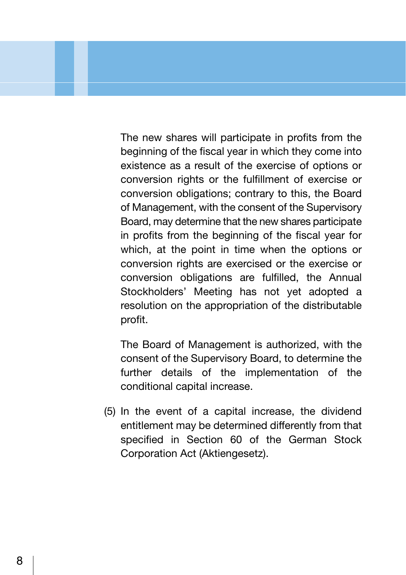The new shares will participate in profits from the beginning of the fiscal year in which they come into existence as a result of the exercise of options or conversion rights or the fulfillment of exercise or conversion obligations; contrary to this, the Board of Management, with the consent of the Supervisory Board, may determine that the new shares participate in profits from the beginning of the fiscal year for which, at the point in time when the options or conversion rights are exercised or the exercise or conversion obligations are fulfilled, the Annual Stockholders' Meeting has not yet adopted a resolution on the appropriation of the distributable profit.

The Board of Management is authorized, with the consent of the Supervisory Board, to determine the further details of the implementation of the conditional capital increase.

(5) In the event of a capital increase, the dividend entitlement may be determined differently from that specified in Section 60 of the German Stock Corporation Act (Aktiengesetz).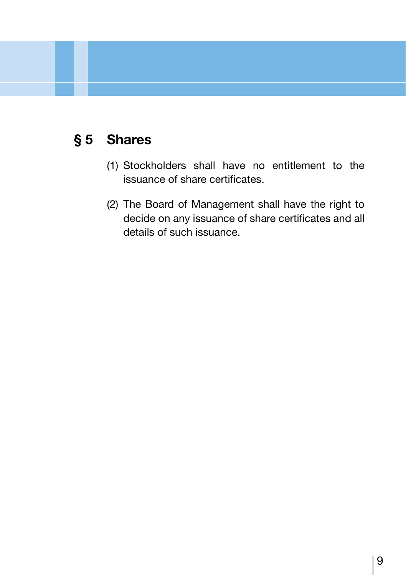# **§ 5 Shares**

- (1) Stockholders shall have no entitlement to the issuance of share certificates.
- (2) The Board of Management shall have the right to decide on any issuance of share certificates and all details of such issuance.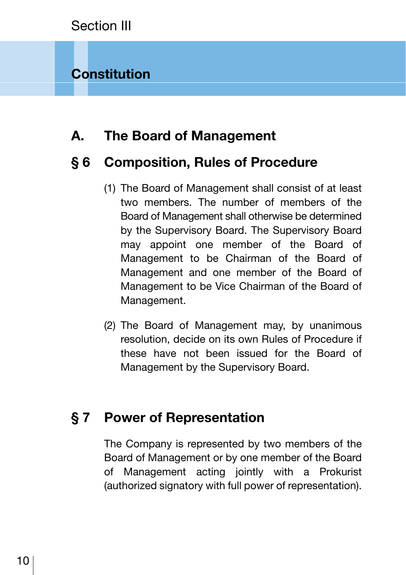Section III

#### **Constitution**

#### **A. The Board of Management**

#### **§ 6 Composition, Rules of Procedure**

- (1) The Board of Management shall consist of at least two members. The number of members of the Board of Management shall otherwise be determined by the Supervisory Board. The Supervisory Board may appoint one member of the Board of Management to be Chairman of the Board of Management and one member of the Board of Management to be Vice Chairman of the Board of Management.
- (2) The Board of Management may, by unanimous resolution, decide on its own Rules of Procedure if these have not been issued for the Board of Management by the Supervisory Board.

#### **§ 7 Power of Representation**

The Company is represented by two members of the Board of Management or by one member of the Board of Management acting jointly with a Prokurist (authorized signatory with full power of representation).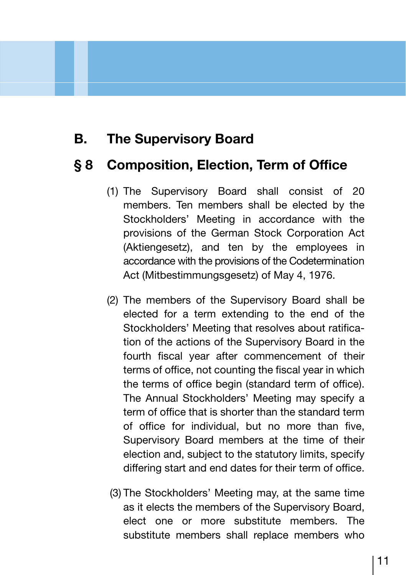## **B. The Supervisory Board**

#### **§ 8 Composition, Election, Term of Office**

- (1) The Supervisory Board shall consist of 20 members. Ten members shall be elected by the Stockholders' Meeting in accordance with the provisions of the German Stock Corporation Act (Aktiengesetz), and ten by the employees in accordance with the provisions of the Codetermination Act (Mitbestimmungsgesetz) of May 4, 1976.
- (2) The members of the Supervisory Board shall be elected for a term extending to the end of the Stockholders' Meeting that resolves about ratification of the actions of the Supervisory Board in the fourth fiscal year after commencement of their terms of office, not counting the fiscal year in which the terms of office begin (standard term of office). The Annual Stockholders' Meeting may specify a term of office that is shorter than the standard term of office for individual, but no more than five, Supervisory Board members at the time of their election and, subject to the statutory limits, specify differing start and end dates for their term of office.
- (3) The Stockholders' Meeting may, at the same time as it elects the members of the Supervisory Board, elect one or more substitute members. The substitute members shall replace members who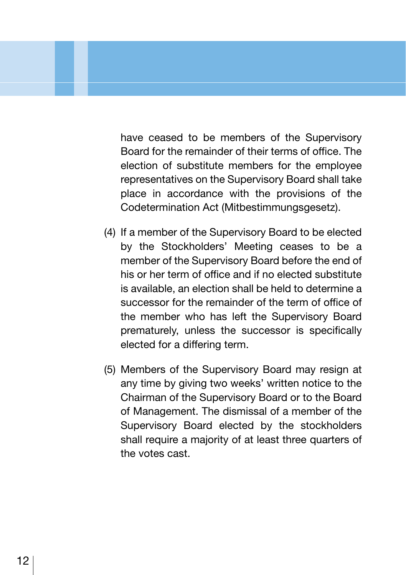have ceased to be members of the Supervisory Board for the remainder of their terms of office. The election of substitute members for the employee representatives on the Supervisory Board shall take place in accordance with the provisions of the Codetermination Act (Mitbestimmungsgesetz).

- (4) If a member of the Supervisory Board to be elected by the Stockholders' Meeting ceases to be a member of the Supervisory Board before the end of his or her term of office and if no elected substitute is available, an election shall be held to determine a successor for the remainder of the term of office of the member who has left the Supervisory Board prematurely, unless the successor is specifically elected for a differing term.
- (5) Members of the Supervisory Board may resign at any time by giving two weeks' written notice to the Chairman of the Supervisory Board or to the Board of Management. The dismissal of a member of the Supervisory Board elected by the stockholders shall require a majority of at least three quarters of the votes cast.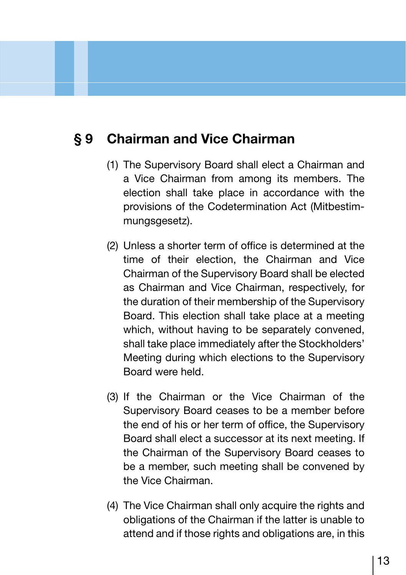#### **§ 9 Chairman and Vice Chairman**

- (1) The Supervisory Board shall elect a Chairman and a Vice Chairman from among its members. The election shall take place in accordance with the provisions of the Codetermination Act (Mitbestimmungsgesetz).
- (2) Unless a shorter term of office is determined at the time of their election, the Chairman and Vice Chairman of the Supervisory Board shall be elected as Chairman and Vice Chairman, respectively, for the duration of their membership of the Supervisory Board. This election shall take place at a meeting which, without having to be separately convened, shall take place immediately after the Stockholders' Meeting during which elections to the Supervisory Board were held.
- (3) If the Chairman or the Vice Chairman of the Supervisory Board ceases to be a member before the end of his or her term of office, the Supervisory Board shall elect a successor at its next meeting. If the Chairman of the Supervisory Board ceases to be a member, such meeting shall be convened by the Vice Chairman.
- (4) The Vice Chairman shall only acquire the rights and obligations of the Chairman if the latter is unable to attend and if those rights and obligations are, in this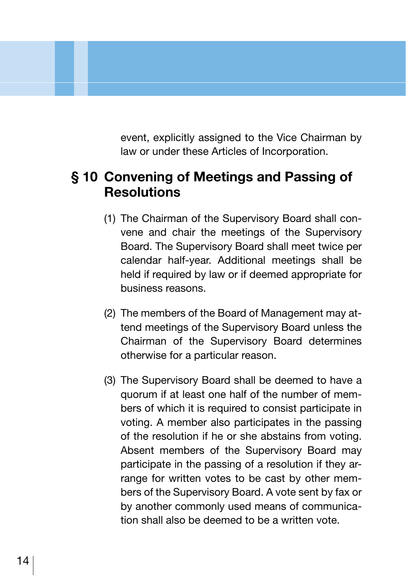event, explicitly assigned to the Vice Chairman by law or under these Articles of Incorporation.

#### **§ 10 Convening of Meetings and Passing of Resolutions**

- (1) The Chairman of the Supervisory Board shall convene and chair the meetings of the Supervisory Board. The Supervisory Board shall meet twice per calendar half-year. Additional meetings shall be held if required by law or if deemed appropriate for business reasons.
- (2) The members of the Board of Management may attend meetings of the Supervisory Board unless the Chairman of the Supervisory Board determines otherwise for a particular reason.
- (3) The Supervisory Board shall be deemed to have a quorum if at least one half of the number of members of which it is required to consist participate in voting. A member also participates in the passing of the resolution if he or she abstains from voting. Absent members of the Supervisory Board may participate in the passing of a resolution if they arrange for written votes to be cast by other members of the Supervisory Board. A vote sent by fax or by another commonly used means of communication shall also be deemed to be a written vote.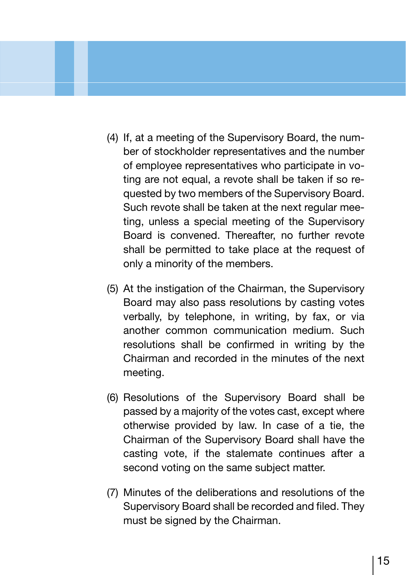- (4) If, at a meeting of the Supervisory Board, the number of stockholder representatives and the number of employee representatives who participate in voting are not equal, a revote shall be taken if so requested by two members of the Supervisory Board. Such revote shall be taken at the next regular meeting, unless a special meeting of the Supervisory Board is convened. Thereafter, no further revote shall be permitted to take place at the request of only a minority of the members.
- (5) At the instigation of the Chairman, the Supervisory Board may also pass resolutions by casting votes verbally, by telephone, in writing, by fax, or via another common communication medium. Such resolutions shall be confirmed in writing by the Chairman and recorded in the minutes of the next meeting.
- (6) Resolutions of the Supervisory Board shall be passed by a majority of the votes cast, except where otherwise provided by law. In case of a tie, the Chairman of the Supervisory Board shall have the casting vote, if the stalemate continues after a second voting on the same subject matter.
- (7) Minutes of the deliberations and resolutions of the Supervisory Board shall be recorded and filed. They must be signed by the Chairman.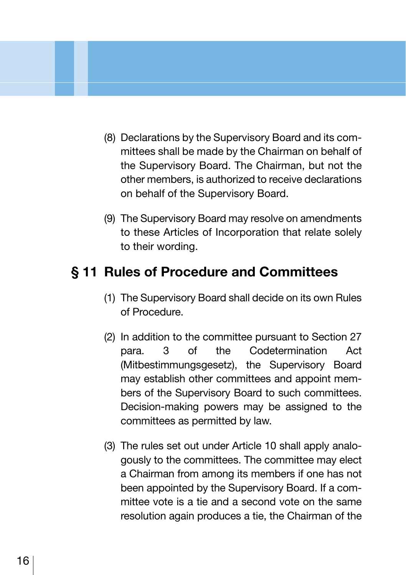- (8) Declarations by the Supervisory Board and its committees shall be made by the Chairman on behalf of the Supervisory Board. The Chairman, but not the other members, is authorized to receive declarations on behalf of the Supervisory Board.
- (9) The Supervisory Board may resolve on amendments to these Articles of Incorporation that relate solely to their wording.

# **§ 11 Rules of Procedure and Committees**

- (1) The Supervisory Board shall decide on its own Rules of Procedure.
- (2) In addition to the committee pursuant to Section 27 para. 3 of the Codetermination Act (Mitbestimmungsgesetz), the Supervisory Board may establish other committees and appoint members of the Supervisory Board to such committees. Decision-making powers may be assigned to the committees as permitted by law.
- (3) The rules set out under Article 10 shall apply analogously to the committees. The committee may elect a Chairman from among its members if one has not been appointed by the Supervisory Board. If a committee vote is a tie and a second vote on the same resolution again produces a tie, the Chairman of the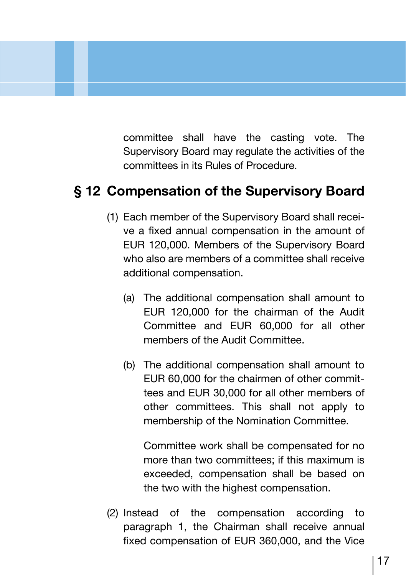committee shall have the casting vote. The Supervisory Board may regulate the activities of the committees in its Rules of Procedure.

# **§ 12 Compensation of the Supervisory Board**

- (1) Each member of the Supervisory Board shall receive a fixed annual compensation in the amount of EUR 120,000. Members of the Supervisory Board who also are members of a committee shall receive additional compensation.
	- (a) The additional compensation shall amount to EUR 120,000 for the chairman of the Audit Committee and EUR 60,000 for all other members of the Audit Committee.
	- (b) The additional compensation shall amount to EUR 60,000 for the chairmen of other committees and EUR 30,000 for all other members of other committees. This shall not apply to membership of the Nomination Committee.

 Committee work shall be compensated for no more than two committees; if this maximum is exceeded, compensation shall be based on the two with the highest compensation.

(2) Instead of the compensation according to paragraph 1, the Chairman shall receive annual fixed compensation of EUR 360,000, and the Vice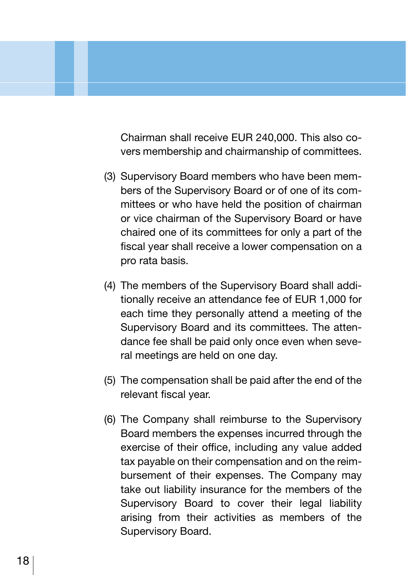Chairman shall receive EUR 240,000. This also covers membership and chairmanship of committees.

- (3) Supervisory Board members who have been members of the Supervisory Board or of one of its committees or who have held the position of chairman or vice chairman of the Supervisory Board or have chaired one of its committees for only a part of the fiscal year shall receive a lower compensation on a pro rata basis.
- (4) The members of the Supervisory Board shall additionally receive an attendance fee of EUR 1,000 for each time they personally attend a meeting of the Supervisory Board and its committees. The attendance fee shall be paid only once even when several meetings are held on one day.
- (5) The compensation shall be paid after the end of the relevant fiscal year.
- (6) The Company shall reimburse to the Supervisory Board members the expenses incurred through the exercise of their office, including any value added tax payable on their compensation and on the reimbursement of their expenses. The Company may take out liability insurance for the members of the Supervisory Board to cover their legal liability arising from their activities as members of the Supervisory Board.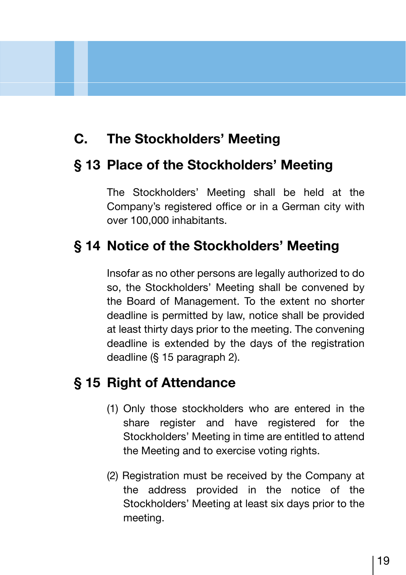# **C. The Stockholders' Meeting**

#### **§ 13 Place of the Stockholders' Meeting**

The Stockholders' Meeting shall be held at the Company's registered office or in a German city with over 100,000 inhabitants.

# **§ 14 Notice of the Stockholders' Meeting**

Insofar as no other persons are legally authorized to do so, the Stockholders' Meeting shall be convened by the Board of Management. To the extent no shorter deadline is permitted by law, notice shall be provided at least thirty days prior to the meeting. The convening deadline is extended by the days of the registration deadline (§ 15 paragraph 2).

# **§ 15 Right of Attendance**

- (1) Only those stockholders who are entered in the share register and have registered for the Stockholders' Meeting in time are entitled to attend the Meeting and to exercise voting rights.
- (2) Registration must be received by the Company at the address provided in the notice of the Stockholders' Meeting at least six days prior to the meeting.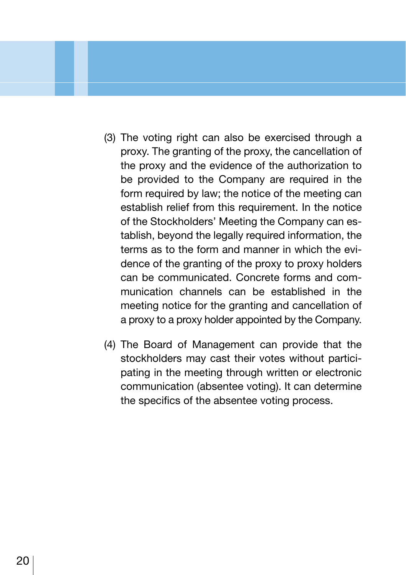- (3) The voting right can also be exercised through a proxy. The granting of the proxy, the cancellation of the proxy and the evidence of the authorization to be provided to the Company are required in the form required by law; the notice of the meeting can establish relief from this requirement. In the notice of the Stockholders' Meeting the Company can establish, beyond the legally required information, the terms as to the form and manner in which the evidence of the granting of the proxy to proxy holders can be communicated. Concrete forms and communication channels can be established in the meeting notice for the granting and cancellation of a proxy to a proxy holder appointed by the Company.
- (4) The Board of Management can provide that the stockholders may cast their votes without participating in the meeting through written or electronic communication (absentee voting). It can determine the specifics of the absentee voting process.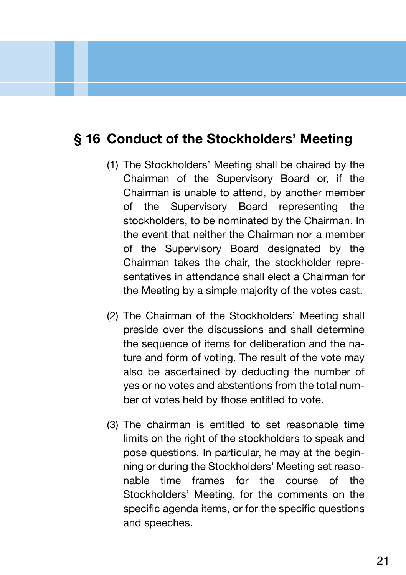# **§ 16 Conduct of the Stockholders' Meeting**

- (1) The Stockholders' Meeting shall be chaired by the Chairman of the Supervisory Board or, if the Chairman is unable to attend, by another member of the Supervisory Board representing the stockholders, to be nominated by the Chairman. In the event that neither the Chairman nor a member of the Supervisory Board designated by the Chairman takes the chair, the stockholder representatives in attendance shall elect a Chairman for the Meeting by a simple majority of the votes cast.
- (2) The Chairman of the Stockholders' Meeting shall preside over the discussions and shall determine the sequence of items for deliberation and the nature and form of voting. The result of the vote may also be ascertained by deducting the number of yes or no votes and abstentions from the total number of votes held by those entitled to vote.
- (3) The chairman is entitled to set reasonable time limits on the right of the stockholders to speak and pose questions. In particular, he may at the beginning or during the Stockholders' Meeting set reasonable time frames for the course of the Stockholders' Meeting, for the comments on the specific agenda items, or for the specific questions and speeches.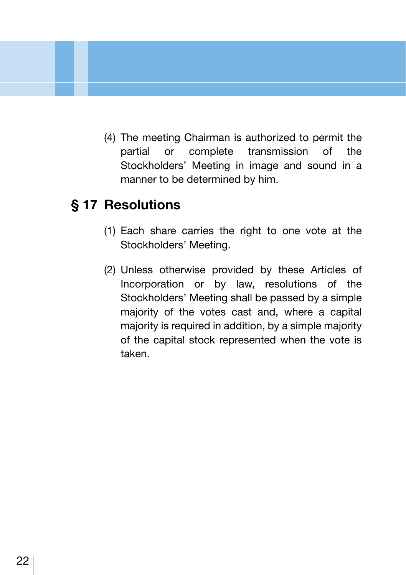(4) The meeting Chairman is authorized to permit the partial or complete transmission of the Stockholders' Meeting in image and sound in a manner to be determined by him.

#### **§ 17 Resolutions**

- (1) Each share carries the right to one vote at the Stockholders' Meeting.
- (2) Unless otherwise provided by these Articles of Incorporation or by law, resolutions of the Stockholders' Meeting shall be passed by a simple majority of the votes cast and, where a capital majority is required in addition, by a simple majority of the capital stock represented when the vote is taken.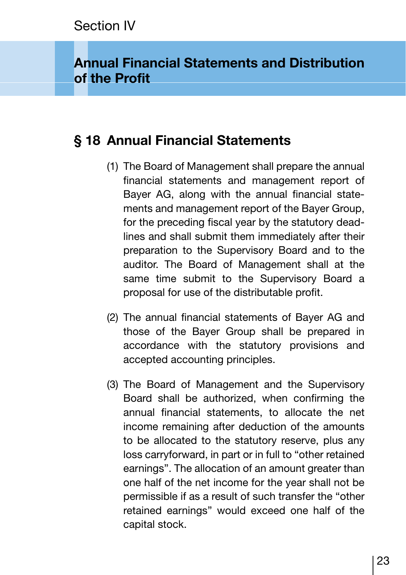#### **Annual Financial Statements and Distribution of the Profit**

# **§ 18 Annual Financial Statements**

- (1) The Board of Management shall prepare the annual financial statements and management report of Bayer AG, along with the annual financial statements and management report of the Bayer Group, for the preceding fiscal year by the statutory deadlines and shall submit them immediately after their preparation to the Supervisory Board and to the auditor. The Board of Management shall at the same time submit to the Supervisory Board a proposal for use of the distributable profit.
- (2) The annual financial statements of Bayer AG and those of the Bayer Group shall be prepared in accordance with the statutory provisions and accepted accounting principles.
- (3) The Board of Management and the Supervisory Board shall be authorized, when confirming the annual financial statements, to allocate the net income remaining after deduction of the amounts to be allocated to the statutory reserve, plus any loss carryforward, in part or in full to "other retained earnings". The allocation of an amount greater than one half of the net income for the year shall not be permissible if as a result of such transfer the "other retained earnings" would exceed one half of the capital stock.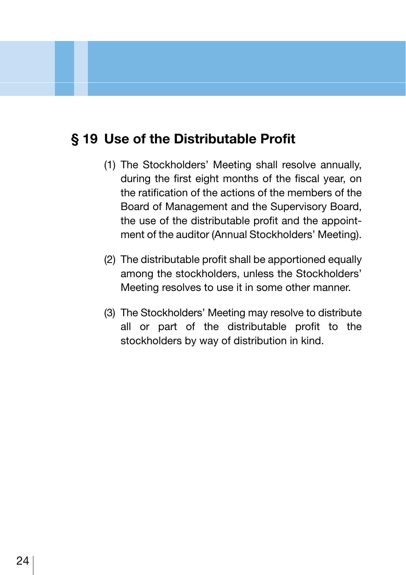## **§ 19 Use of the Distributable Profit**

- (1) The Stockholders' Meeting shall resolve annually, during the first eight months of the fiscal year, on the ratification of the actions of the members of the Board of Management and the Supervisory Board, the use of the distributable profit and the appointment of the auditor (Annual Stockholders' Meeting).
- (2) The distributable profit shall be apportioned equally among the stockholders, unless the Stockholders' Meeting resolves to use it in some other manner.
- (3) The Stockholders' Meeting may resolve to distribute all or part of the distributable profit to the stockholders by way of distribution in kind.